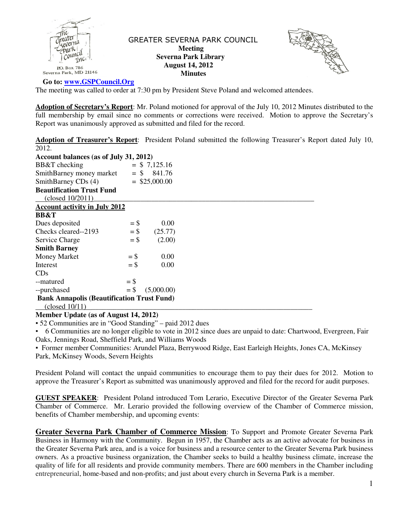

 GREATER SEVERNA PARK COUNCIL  **Meeting Severna Park Library August 14, 2012 Minutes** 



 **Go to: www.GSPCouncil.Org**

The meeting was called to order at 7:30 pm by President Steve Poland and welcomed attendees.

**Adoption of Secretary's Report**: Mr. Poland motioned for approval of the July 10, 2012 Minutes distributed to the full membership by email since no comments or corrections were received. Motion to approve the Secretary's Report was unanimously approved as submitted and filed for the record.

**Adoption of Treasurer's Report**: President Poland submitted the following Treasurer's Report dated July 10, 2012.

| Account balances (as of July 31, 2012)            |        |                 |  |  |
|---------------------------------------------------|--------|-----------------|--|--|
| BB&T checking                                     |        | $=$ \$ 7,125.16 |  |  |
| SmithBarney money market                          |        | $=$ \$ 841.76   |  |  |
| SmithBarney CDs (4)                               |        | $=$ \$25,000.00 |  |  |
| <b>Beautification Trust Fund</b>                  |        |                 |  |  |
| (closed 10/2011)                                  |        |                 |  |  |
| <b>Account activity in July 2012</b>              |        |                 |  |  |
| <b>BB&amp;T</b>                                   |        |                 |  |  |
| Dues deposited                                    | $=$ \$ | 0.00            |  |  |
| Checks cleared--2193                              | $=$ \$ | (25.77)         |  |  |
| Service Charge                                    | $=$ \$ | (2.00)          |  |  |
| <b>Smith Barney</b>                               |        |                 |  |  |
| Money Market                                      | $=$ \$ | 0.00            |  |  |
| Interest                                          | $=$ \$ | 0.00            |  |  |
| CDs                                               |        |                 |  |  |
| --matured                                         | $=$ \$ |                 |  |  |
| --purchased                                       | $=$ \$ | (5,000.00)      |  |  |
| <b>Bank Annapolis (Beautification Trust Fund)</b> |        |                 |  |  |
| (closed 10/11)                                    |        |                 |  |  |

### **Member Update (as of August 14, 2012)**

▪ 52 Communities are in "Good Standing" – paid 2012 dues

▪ 6 Communities are no longer eligible to vote in 2012 since dues are unpaid to date: Chartwood, Evergreen, Fair Oaks, Jennings Road, Sheffield Park, and Williams Woods

▪ Former member Communities: Arundel Plaza, Berrywood Ridge, East Earleigh Heights, Jones CA, McKinsey Park, McKinsey Woods, Severn Heights

President Poland will contact the unpaid communities to encourage them to pay their dues for 2012. Motion to approve the Treasurer's Report as submitted was unanimously approved and filed for the record for audit purposes.

**GUEST SPEAKER**: President Poland introduced Tom Lerario, Executive Director of the Greater Severna Park Chamber of Commerce. Mr. Lerario provided the following overview of the Chamber of Commerce mission, benefits of Chamber membership, and upcoming events:

**Greater Severna Park Chamber of Commerce Mission**: To Support and Promote Greater Severna Park Business in Harmony with the Community. Begun in 1957, the Chamber acts as an active advocate for business in the Greater Severna Park area, and is a voice for business and a resource center to the Greater Severna Park business owners. As a proactive business organization, the Chamber seeks to build a healthy business climate, increase the quality of life for all residents and provide community members. There are 600 members in the Chamber including entrepreneurial, home-based and non-profits; and just about every church in Severna Park is a member.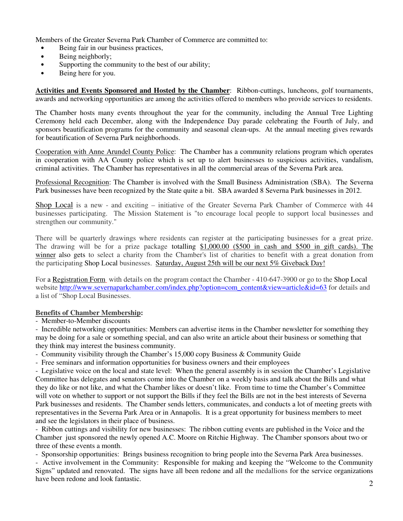Members of the Greater Severna Park Chamber of Commerce are committed to:

- Being fair in our business practices,
- Being neighborly;
- Supporting the community to the best of our ability;
- Being here for you.

**Activities and Events Sponsored and Hosted by the Chamber**: Ribbon-cuttings, luncheons, golf tournaments, awards and networking opportunities are among the activities offered to members who provide services to residents.

The Chamber hosts many events throughout the year for the community, including the Annual Tree Lighting Ceremony held each December, along with the Independence Day parade celebrating the Fourth of July, and sponsors beautification programs for the community and seasonal clean-ups. At the annual meeting gives rewards for beautification of Severna Park neighborhoods.

Cooperation with Anne Arundel County Police: The Chamber has a community relations program which operates in cooperation with AA County police which is set up to alert businesses to suspicious activities, vandalism, criminal activities. The Chamber has representatives in all the commercial areas of the Severna Park area.

Professional Recognition: The Chamber is involved with the Small Business Administration (SBA). The Severna Park businesses have been recognized by the State quite a bit. SBA awarded 8 Severna Park businesses in 2012.

Shop Local is a new - and exciting – initiative of the Greater Severna Park Chamber of Commerce with 44 businesses participating. The Mission Statement is "to encourage local people to support local businesses and strengthen our community."

There will be quarterly drawings where residents can register at the participating businesses for a great prize. The drawing will be for a prize package totalling \$1,000.00 (\$500 in cash and \$500 in gift cards). The winner also gets to select a charity from the Chamber's list of charities to benefit with a great donation from the participating Shop Local businesses. Saturday, August 25th will be our next 5% Giveback Day!

For a Registration Form with details on the program contact the Chamber - 410-647-3900 or go to the Shop Local website http://www.severnaparkchamber.com/index.php?option=com\_content&view=article&id=63 for details and a list of "Shop Local Businesses.

# **Benefits of Chamber Membership:**

- Member-to-Member discounts

- Incredible networking opportunities: Members can advertise items in the Chamber newsletter for something they may be doing for a sale or something special, and can also write an article about their business or something that they think may interest the business community.

- Community visibility through the Chamber's 15,000 copy Business & Community Guide

- Free seminars and information opportunities for business owners and their employees

- Legislative voice on the local and state level: When the general assembly is in session the Chamber's Legislative Committee has delegates and senators come into the Chamber on a weekly basis and talk about the Bills and what they do like or not like, and what the Chamber likes or doesn't like. From time to time the Chamber's Committee will vote on whether to support or not support the Bills if they feel the Bills are not in the best interests of Severna Park businesses and residents. The Chamber sends letters, communicates, and conducts a lot of meeting greets with representatives in the Severna Park Area or in Annapolis. It is a great opportunity for business members to meet and see the legislators in their place of business.

- Ribbon cuttings and visibility for new businesses: The ribbon cutting events are published in the Voice and the Chamber just sponsored the newly opened A.C. Moore on Ritchie Highway. The Chamber sponsors about two or three of these events a month.

- Sponsorship opportunities: Brings business recognition to bring people into the Severna Park Area businesses.

- Active involvement in the Community: Responsible for making and keeping the "Welcome to the Community Signs" updated and renovated. The signs have all been redone and all the medallions for the service organizations have been redone and look fantastic.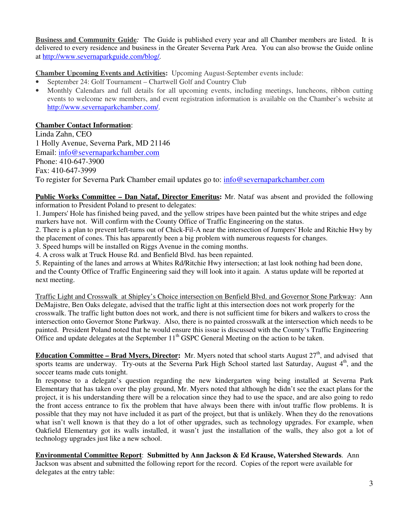**Business and Community Guide***:* The Guide is published every year and all Chamber members are listed. It is delivered to every residence and business in the Greater Severna Park Area. You can also browse the Guide online at http://www.severnaparkguide.com/blog/*.* 

**Chamber Upcoming Events and Activities:** Upcoming August-September events include:

- September 24: Golf Tournament Chartwell Golf and Country Club
- Monthly Calendars and full details for all upcoming events, including meetings, luncheons, ribbon cutting events to welcome new members, and event registration information is available on the Chamber's website at http://www.severnaparkchamber.com/.

# **Chamber Contact Information**:

Linda Zahn, CEO 1 Holly Avenue, Severna Park, MD 21146 Email: info@severnaparkchamber.com Phone: 410-647-3900 Fax: 410-647-3999 To register for Severna Park Chamber email updates go to: info@severnaparkchamber.com

**Public Works Committee – Dan Nataf, Director Emeritus:** Mr. Nataf was absent and provided the following information to President Poland to present to delegates:

1. Jumpers' Hole has finished being paved, and the yellow stripes have been painted but the white stripes and edge markers have not. Will confirm with the County Office of Traffic Engineering on the status.

2. There is a plan to prevent left-turns out of Chick-Fil-A near the intersection of Jumpers' Hole and Ritchie Hwy by the placement of cones. This has apparently been a big problem with numerous requests for changes.

3. Speed humps will be installed on Riggs Avenue in the coming months.

4. A cross walk at Truck House Rd. and Benfield Blvd. has been repainted.

5. Repainting of the lanes and arrows at Whites Rd/Ritchie Hwy intersection; at last look nothing had been done, and the County Office of Traffic Engineering said they will look into it again. A status update will be reported at next meeting.

Traffic Light and Crosswalk at Shipley's Choice intersection on Benfield Blvd. and Governor Stone Parkway: Ann DeMajistre, Ben Oaks delegate, advised that the traffic light at this intersection does not work properly for the crosswalk. The traffic light button does not work, and there is not sufficient time for bikers and walkers to cross the intersection onto Governor Stone Parkway. Also, there is no painted crosswalk at the intersection which needs to be painted. President Poland noted that he would ensure this issue is discussed with the County's Traffic Engineering Office and update delegates at the September  $11<sup>th</sup>$  GSPC General Meeting on the action to be taken.

**Education Committee – Brad Myers, Director:** Mr. Myers noted that school starts August  $27<sup>th</sup>$ , and advised that sports teams are underway. Try-outs at the Severna Park High School started last Saturday, August 4<sup>th</sup>, and the soccer teams made cuts tonight.

In response to a delegate's question regarding the new kindergarten wing being installed at Severna Park Elementary that has taken over the play ground, Mr. Myers noted that although he didn't see the exact plans for the project, it is his understanding there will be a relocation since they had to use the space, and are also going to redo the front access entrance to fix the problem that have always been there with in/out traffic flow problems. It is possible that they may not have included it as part of the project, but that is unlikely. When they do the renovations what isn't well known is that they do a lot of other upgrades, such as technology upgrades. For example, when Oakfield Elementary got its walls installed, it wasn't just the installation of the walls, they also got a lot of technology upgrades just like a new school.

**Environmental Committee Report**: **Submitted by Ann Jackson & Ed Krause, Watershed Stewards**. Ann Jackson was absent and submitted the following report for the record. Copies of the report were available for delegates at the entry table: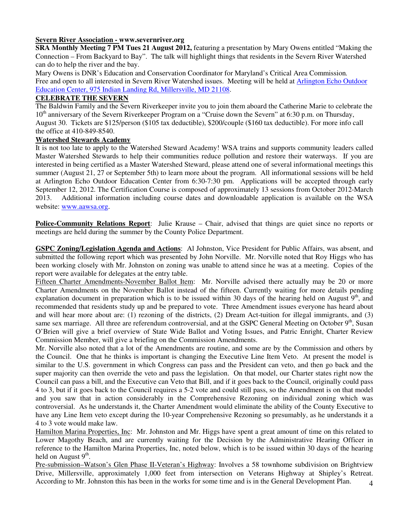## **Severn River Association - www.severnriver.org**

**SRA Monthly Meeting 7 PM Tues 21 August 2012,** featuring a presentation by Mary Owens entitled "Making the Connection – From Backyard to Bay". The talk will highlight things that residents in the Severn River Watershed can do to help the river and the bay.

Mary Owens is DNR's Education and Conservation Coordinator for Maryland's Critical Area Commission*.* Free and open to all interested in Severn River Watershed issues. Meeting will be held at Arlington Echo Outdoor Education Center, 975 Indian Landing Rd, Millersville, MD 21108.

# **CELEBRATE THE SEVERN**

The Baldwin Family and the Severn Riverkeeper invite you to join them aboard the Catherine Marie to celebrate the  $10<sup>th</sup>$  anniversary of the Severn Riverkeeper Program on a "Cruise down the Severn" at 6:30 p.m. on Thursday, August 30. Tickets are \$125/person (\$105 tax deductible), \$200/couple (\$160 tax deductible). For more info call the office at 410-849-8540.

### **Watershed Stewards Academy**

It is not too late to apply to the Watershed Steward Academy! WSA trains and supports community leaders called Master Watershed Stewards to help their communities reduce pollution and restore their waterways. If you are interested in being certified as a Master Watershed Steward, please attend one of several informational meetings this summer (August 21, 27 or September 5th) to learn more about the program. All informational sessions will be held at Arlington Echo Outdoor Education Center from 6:30-7:30 pm. Applications will be accepted through early September 12, 2012. The Certification Course is composed of approximately 13 sessions from October 2012-March 2013. Additional information including course dates and downloadable application is available on the WSA website: www.aawsa.org.

**Police-Community Relations Report**: Julie Krause – Chair, advised that things are quiet since no reports or meetings are held during the summer by the County Police Department.

**GSPC Zoning/Legislation Agenda and Actions**: Al Johnston, Vice President for Public Affairs, was absent, and submitted the following report which was presented by John Norville. Mr. Norville noted that Roy Higgs who has been working closely with Mr. Johnston on zoning was unable to attend since he was at a meeting. Copies of the report were available for delegates at the entry table.

Fifteen Charter Amendments-November Ballot Item: Mr. Norville advised there actually may be 20 or more Charter Amendments on the November Ballot instead of the fifteen. Currently waiting for more details pending explanation document in preparation which is to be issued within 30 days of the hearing held on August  $9<sup>th</sup>$ , and recommended that residents study up and be prepared to vote. Three Amendment issues everyone has heard about and will hear more about are: (1) rezoning of the districts, (2) Dream Act-tuition for illegal immigrants, and (3) same sex marriage. All three are referendum controversial, and at the GSPC General Meeting on October  $9<sup>th</sup>$ , Susan O'Brien will give a brief overview of State Wide Ballot and Voting Issues, and Patric Enright, Charter Review Commission Member, will give a briefing on the Commission Amendments.

Mr. Norville also noted that a lot of the Amendments are routine, and some are by the Commission and others by the Council. One that he thinks is important is changing the Executive Line Item Veto. At present the model is similar to the U.S. government in which Congress can pass and the President can veto, and then go back and the super majority can then override the veto and pass the legislation. On that model, our Charter states right now the Council can pass a bill, and the Executive can Veto that Bill, and if it goes back to the Council, originally could pass 4 to 3, but if it goes back to the Council requires a 5-2 vote and could still pass, so the Amendment is on that model and you saw that in action considerably in the Comprehensive Rezoning on individual zoning which was controversial. As he understands it, the Charter Amendment would eliminate the ability of the County Executive to have any Line Item veto except during the 10-year Comprehensive Rezoning so presumably, as he understands it a 4 to 3 vote would make law.

Hamilton Marina Properties, Inc: Mr. Johnston and Mr. Higgs have spent a great amount of time on this related to Lower Magothy Beach, and are currently waiting for the Decision by the Administrative Hearing Officer in reference to the Hamilton Marina Properties, Inc, noted below, which is to be issued within 30 days of the hearing held on August  $9<sup>th</sup>$ .

4 Pre-submission–Watson's Glen Phase II-Veteran's Highway: Involves a 58 townhome subdivision on Brightview Drive, Millersville, approximately 1,000 feet from intersection on Veterans Highway at Shipley's Retreat. According to Mr. Johnston this has been in the works for some time and is in the General Development Plan.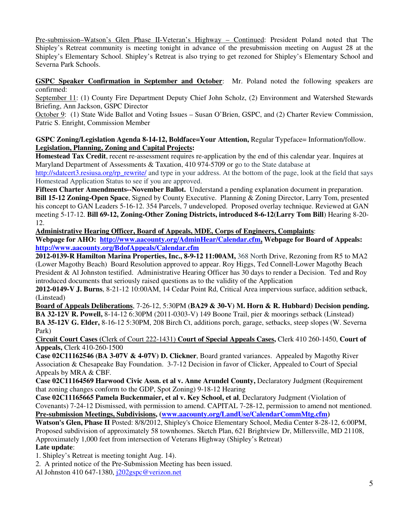Pre-submission–Watson's Glen Phase II-Veteran's Highway – Continued: President Poland noted that The Shipley's Retreat community is meeting tonight in advance of the presubmission meeting on August 28 at the Shipley's Elementary School. Shipley's Retreat is also trying to get rezoned for Shipley's Elementary School and Severna Park Schools.

**GSPC Speaker Confirmation in September and October**: Mr. Poland noted the following speakers are confirmed:

September 11: (1) County Fire Department Deputy Chief John Scholz, (2) Environment and Watershed Stewards Briefing, Ann Jackson, GSPC Director

October 9: (1) State Wide Ballot and Voting Issues – Susan O'Brien, GSPC, and (2) Charter Review Commission, Patric S. Enright, Commission Member

**GSPC Zoning/Legislation Agenda 8-14-12, Boldface=Your Attention,** Regular Typeface= Information/follow. **Legislation, Planning, Zoning and Capital Projects:** 

**Homestead Tax Credit**, recent re-assessment requires re-application by the end of this calendar year. Inquires at Maryland Department of Assessments & Taxation, 410 974-5709 or go to the State database at

http://sdatcert3.resiusa.org/rp\_rewrite/ and type in your address. At the bottom of the page, look at the field that says Homestead Application Status to see if you are approved.

**Fifteen Charter Amendments--November Ballot.** Understand a pending explanation document in preparation.

**Bill 15-12 Zoning-Open Space**, Signed by County Executive. Planning & Zoning Director, Larry Tom, presented his concept to GAN Leaders 5-16-12. 354 Parcels, 7 undeveloped. Proposed overlay technique. Reviewed at GAN meeting 5-17-12. **Bill 69-12, Zoning-Other Zoning Districts, introduced 8-6-12(Larry Tom Bill**) Hearing 8-20- 12.

**Administrative Hearing Officer, Board of Appeals, MDE, Corps of Engineers, Complaints**:

**Webpage for AHO: http://www.aacounty.org/AdminHear/Calendar.cfm, Webpage for Board of Appeals: http://www.aacounty.org/BdofAppeals/Calendar.cfm** 

**2012-0139-R Hamilton Marina Properties, Inc., 8-9-12 11:00AM,** 368 North Drive, Rezoning from R5 to MA2 (Lower Magothy Beach) Board Resolution approved to appear. Roy Higgs, Ted Connell-Lower Magothy Beach President & Al Johnston testified. Administrative Hearing Officer has 30 days to render a Decision. Ted and Roy introduced documents that seriously raised questions as to the validity of the Application

**2012-0149-V J. Burns**, 8-21-12 10:00AM, 14 Cedar Point Rd, Critical Area impervious surface, addition setback, (Linstead)

**Board of Appeals Deliberations**, 7-26-12, 5:30PM (**BA29 & 30-V) M. Horn & R. Hubbard) Decision pending. BA 32-12V R. Powell,** 8-14-12 6:30PM (2011-0303-V) 149 Boone Trail, pier & moorings setback (Linstead) **BA 35-12V G. Elder,** 8-16-12 5:30PM, 208 Birch Ct, additions porch, garage, setbacks, steep slopes (W. Severna Park)

**Circuit Court Cases (**Clerk of Court 222-1431) **Court of Special Appeals Cases,** Clerk 410 260-1450, **Court of Appeals,** Clerk 410-260-1500

**Case 02C11162546 (BA 3-07V & 4-07V) D. Clickner**, Board granted variances. Appealed by Magothy River Association & Chesapeake Bay Foundation. 3-7-12 Decision in favor of Clicker, Appealed to Court of Special Appeals by MRA & CBF.

**Case 02C11164569 Harwood Civic Assn. et al v. Anne Arundel County,** Declaratory Judgment (Requirement that zoning changes conform to the GDP, Spot Zoning) 9-18-12 Hearing

**Case 02C11165665 Pamela Buckenmaier, et al v. Key School, et al**, Declaratory Judgment (Violation of Covenants) 7-24-12 Dismissed, with permission to amend. CAPITAL 7-28-12, permission to amend not mentioned. **Pre-submission Meetings, Subdivisions, (www.aacounty.org/LandUse/CalendarCommMtg.cfm)** 

**Watson's Glen, Phase II** Posted: 8/8/2012, Shipley's Choice Elementary School, Media Center 8-28-12, 6:00PM, Proposed subdivision of approximately 58 townhomes. Sketch Plan, 621 Brightview Dr, Millersville, MD 21108, Approximately 1,000 feet from intersection of Veterans Highway (Shipley's Retreat)

# **Late update**:

1. Shipley's Retreat is meeting tonight Aug. 14).

2. A printed notice of the Pre-Submission Meeting has been issued.

Al Johnston 410 647-1380, j202gspc@verizon.net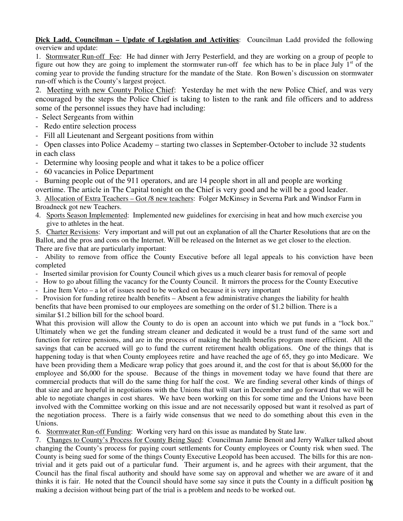### **Dick Ladd, Councilman – Update of Legislation and Activities**: Councilman Ladd provided the following overview and update:

1. Stormwater Run-off Fee: He had dinner with Jerry Pesterfield, and they are working on a group of people to figure out how they are going to implement the stormwater run-off fee which has to be in place July  $1<sup>st</sup>$  of the coming year to provide the funding structure for the mandate of the State. Ron Bowen's discussion on stormwater run-off which is the County's largest project.

2. Meeting with new County Police Chief: Yesterday he met with the new Police Chief, and was very encouraged by the steps the Police Chief is taking to listen to the rank and file officers and to address some of the personnel issues they have had including:

- Select Sergeants from within
- Redo entire selection process
- Fill all Lieutenant and Sergeant positions from within

- Open classes into Police Academy – starting two classes in September-October to include 32 students in each class

- Determine why loosing people and what it takes to be a police officer
- 60 vacancies in Police Department

- Burning people out of the 911 operators, and are 14 people short in all and people are working overtime. The article in The Capital tonight on the Chief is very good and he will be a good leader.

3. Allocation of Extra Teachers – Got /8 new teachers: Folger McKinsey in Severna Park and Windsor Farm in Broadneck got new Teachers.

4. Sports Season Implemented: Implemented new guidelines for exercising in heat and how much exercise you give to athletes in the heat.

5. Charter Revisions: Very important and will put out an explanation of all the Charter Resolutions that are on the Ballot, and the pros and cons on the Internet. Will be released on the Internet as we get closer to the election. There are five that are particularly important:

Ability to remove from office the County Executive before all legal appeals to his conviction have been completed

- Inserted similar provision for County Council which gives us a much clearer basis for removal of people
- How to go about filling the vacancy for the County Council. It mirrors the process for the County Executive
- Line Item Veto a lot of issues need to be worked on because it is very important

- Provision for funding retiree health benefits – Absent a few administrative changes the liability for health benefits that have been promised to our employees are something on the order of \$1.2 billion. There is a similar \$1.2 billion bill for the school board.

What this provision will allow the County to do is open an account into which we put funds in a "lock box." Ultimately when we get the funding stream cleaner and dedicated it would be a trust fund of the same sort and function for retiree pensions, and are in the process of making the health benefits program more efficient. All the savings that can be accrued will go to fund the current retirement health obligations. One of the things that is happening today is that when County employees retire and have reached the age of 65, they go into Medicare. We have been providing them a Medicare wrap policy that goes around it, and the cost for that is about \$6,000 for the employee and \$6,000 for the spouse. Because of the things in movement today we have found that there are commercial products that will do the same thing for half the cost. We are finding several other kinds of things of that size and are hopeful in negotiations with the Unions that will start in December and go forward that we will be able to negotiate changes in cost shares. We have been working on this for some time and the Unions have been involved with the Committee working on this issue and are not necessarily opposed but want it resolved as part of the negotiation process. There is a fairly wide consensus that we need to do something about this even in the Unions.

6. Stormwater Run-off Funding: Working very hard on this issue as mandated by State law.

thinks it is fair. He noted that the Council should have some say since it puts the County in a difficult position by 7. Changes to County's Process for County Being Sued: Councilman Jamie Benoit and Jerry Walker talked about changing the County's process for paying court settlements for County employees or County risk when sued. The County is being sued for some of the things County Executive Leopold has been accused. The bills for this are nontrivial and it gets paid out of a particular fund. Their argument is, and he agrees with their argument, that the Council has the final fiscal authority and should have some say on approval and whether we are aware of it and making a decision without being part of the trial is a problem and needs to be worked out.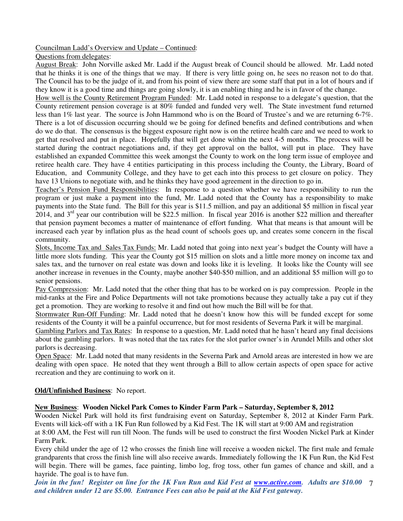### Councilman Ladd's Overview and Update – Continued:

Questions from delegates:

August Break: John Norville asked Mr. Ladd if the August break of Council should be allowed. Mr. Ladd noted that he thinks it is one of the things that we may. If there is very little going on, he sees no reason not to do that. The Council has to be the judge of it, and from his point of view there are some staff that put in a lot of hours and if they know it is a good time and things are going slowly, it is an enabling thing and he is in favor of the change.

How well is the County Retirement Program Funded: Mr. Ladd noted in response to a delegate's question, that the County retirement pension coverage is at 80% funded and funded very well. The State investment fund returned less than 1% last year. The source is John Hammond who is on the Board of Trustee's and we are returning 6-7%. There is a lot of discussion occurring should we be going for defined benefits and defined contributions and when do we do that. The consensus is the biggest exposure right now is on the retiree health care and we need to work to get that resolved and put in place. Hopefully that will get done within the next 4-5 months. The process will be started during the contract negotiations and, if they get approval on the ballot, will put in place. They have established an expanded Committee this week amongst the County to work on the long term issue of employee and retiree health care. They have 4 entities participating in this process including the County, the Library, Board of Education, and Community College, and they have to get each into this process to get closure on policy. They have 13 Unions to negotiate with, and he thinks they have good agreement in the direction to go in.

Teacher's Pension Fund Responsibilities: In response to a question whether we have responsibility to run the program or just make a payment into the fund, Mr. Ladd noted that the County has a responsibility to make payments into the State fund. The Bill for this year is \$11.5 million, and pay an additional \$5 million in fiscal year 2014, and  $3<sup>rd</sup>$  year our contribution will be \$22.5 million. In fiscal year 2016 is another \$22 million and thereafter that pension payment becomes a matter of maintenance of effort funding. What that means is that amount will be increased each year by inflation plus as the head count of schools goes up, and creates some concern in the fiscal community.

Slots, Income Tax and Sales Tax Funds: Mr. Ladd noted that going into next year's budget the County will have a little more slots funding. This year the County got \$15 million on slots and a little more money on income tax and sales tax, and the turnover on real estate was down and looks like it is leveling. It looks like the County will see another increase in revenues in the County, maybe another \$40-\$50 million, and an additional \$5 million will go to senior pensions.

Pay Compression: Mr. Ladd noted that the other thing that has to be worked on is pay compression. People in the mid-ranks at the Fire and Police Departments will not take promotions because they actually take a pay cut if they get a promotion. They are working to resolve it and find out how much the Bill will be for that.

Stormwater Run-Off Funding: Mr. Ladd noted that he doesn't know how this will be funded except for some residents of the County it will be a painful occurrence, but for most residents of Severna Park it will be marginal.

Gambling Parlors and Tax Rates: In response to a question, Mr. Ladd noted that he hasn't heard any final decisions about the gambling parlors. It was noted that the tax rates for the slot parlor owner's in Arundel Mills and other slot parlors is decreasing.

Open Space: Mr. Ladd noted that many residents in the Severna Park and Arnold areas are interested in how we are dealing with open space. He noted that they went through a Bill to allow certain aspects of open space for active recreation and they are continuing to work on it.

### **Old/Unfinished Business**: No report.

### **New Business**: **Wooden Nickel Park Comes to Kinder Farm Park – Saturday, September 8, 2012**

Wooden Nickel Park will hold its first fundraising event on Saturday, September 8, 2012 at Kinder Farm Park. Events will kick-off with a 1K Fun Run followed by a Kid Fest. The 1K will start at 9:00 AM and registration at 8:00 AM, the Fest will run till Noon. The funds will be used to construct the first Wooden Nickel Park at Kinder Farm Park.

Every child under the age of 12 who crosses the finish line will receive a wooden nickel. The first male and female grandparents that cross the finish line will also receive awards. Immediately following the 1K Fun Run, the Kid Fest will begin. There will be games, face painting, limbo log, frog toss, other fun games of chance and skill, and a hayride. The goal is to have fun.

7 *Join in the fun! Register on line for the 1K Fun Run and Kid Fest at www.active.com. Adults are \$10.00 and children under 12 are \$5.00. Entrance Fees can also be paid at the Kid Fest gateway.*